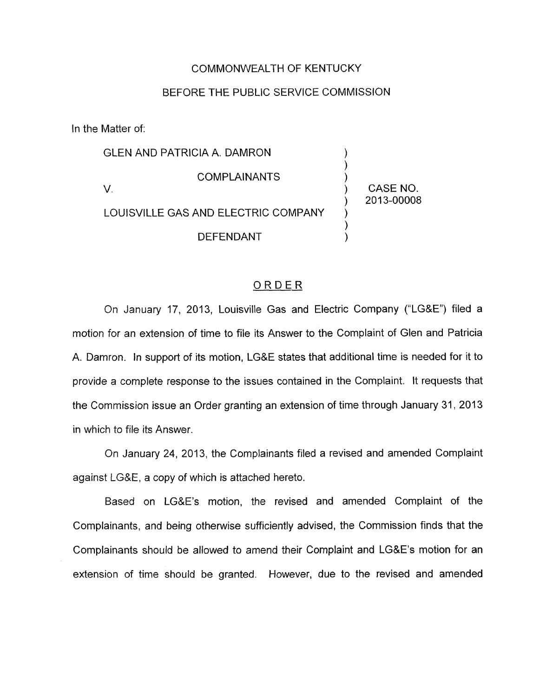## COMMONWEALTH OF KENTUCKY

## BEFORE THE PUBLIC SERVICE COMMISSION

In the Matter of:

**GLEN AND PATRICIA A. DAMRON**  $)$ **COMPLAINANTS** V. ) CASENO. LOUISVILLE GAS AND ELECTRIC COMPANY ) 2013-00008 ) )<br>) **DEFENDANT** 

## ORDER

On January 17, 2013, Louisville Gas and Electric Company ("LG&E") filed a motion for an extension of time to file its Answer to the Complaint of Glen and Patricia A. Damron. In support of its motion, LG&E states that additional time is needed for it to provide a complete response to the issues contained in the Complaint. It requests that the Commission issue an Order granting an extension of time through January 31 , 2013 in which to file its Answer.

On January 24, 2013, the Complainants filed a revised and amended Complaint against LG&E, a copy of which is attached hereto.

Based on LG&E's motion, the revised and amended Complaint of the Complainants, and being otherwise sufficiently advised, the Commission finds that the Complainants should be allowed to amend their Complaint and LG&E's motion for an extension of time should be granted. However, due to the revised and amended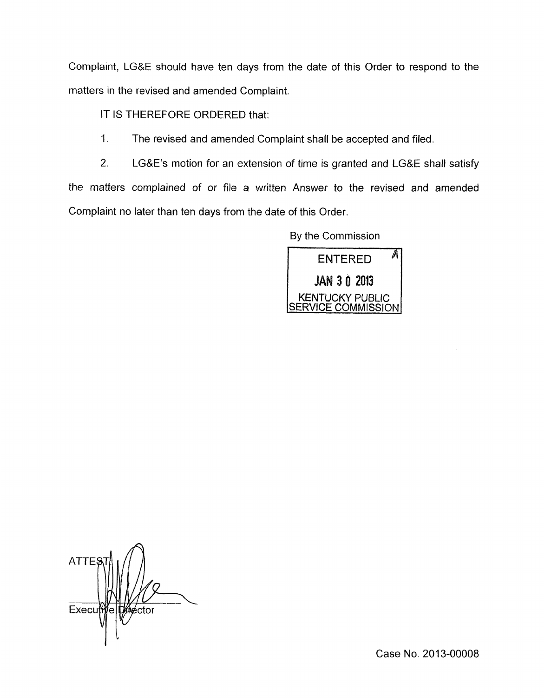Complaint, LG&E should have ten days from the date of this Order to respond to the matters in the revised and amended Complaint.

IT IS THEREFORE ORDERED that:

1, The revised and amended Complaint shall be accepted and filed.

2. LG&E's motion for an extension of time is granted and LG&E shall satisfy the matters complained of or file a written Answer to the revised and amended Complaint no later than ten days from the date of this Order

By the Commission



**ATTES** Executive kéctor

Case No. 2013-00008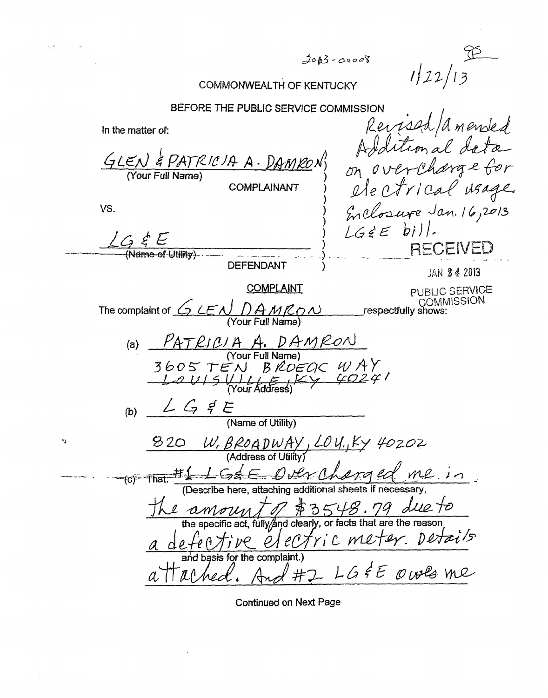$2003 - 00008$ 

 $1/22/13$ 

## COMMONWEALTH OF KENTUCKY

BEFORE THE PUBLIC SERVICE COMMISSION<br>*Revised* / a *mended* In the matter of: Additional dat  $GLEN$  & PATRICIA A. DAMKON) on overcharge for **COMPLAINANT** j ) Enclosure Jan. 16,2013 vs.  $\sum_{i=1}^n$ LGEE bill.  $\angle G \notin E$ <br>(Name-of-Utility) **RECEIVED DEFENDANT** JAN 24 2013 COMPLAINT PUBLIC SERVICE COMMISSIOM # respectfully **shows:**  The complaint of *G LEN DAMRON* (Your Full Name) *LGS'E*  (b)  $\frac{24}{7}$   $\frac{4}{7}$   $\frac{6}{9}$  (Name of Utility) 820 W. BROADWAY, LOU., Ky 40202 That.  $H_{\perp}$  ( $G_{\epsilon}$   $\epsilon$   $D_{\ell}$   $M_{\ell}$   $d$   $m$   $\ell$   $i$   $n$ <br>
(Describe here, attaching additional sheets if necessary,<br>  $H_{\ell}$  amount  $f$   $\neq$  3548. 79 due to<br>
the specific act, fully and clearly, or facts that ar And #2 LG &E owls me

 $\mathcal{O}_2$ 

Continued **on** Next Page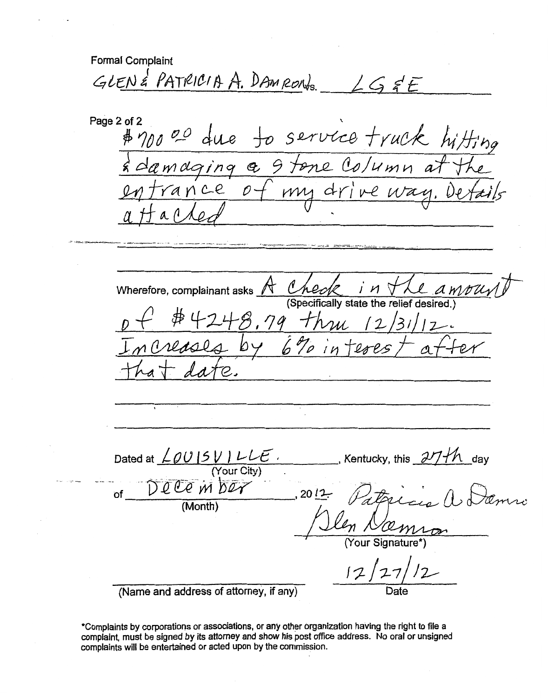**Formal Complaint**  GLEN & PATRICIA A. DAMRONS  $LS$  $E$ Page 2 of 2 service truck h  $# 70000$  $\mathcal{L}$ Hing maging a 9 tene Column at ance  $\mathcal{D}$  $ive$  $mu$  a wherefore, complainant asks  $A$  Check in the *ampurity*<br>(Specifically state the relief desired.)<br> $p f$  #4248,99 thu 12/31/12. **Wherefore, complainant asks**  *ivl*  **(Specifically state the relief desired.)**  Dated at  $\angle \rho \cup \sqrt{5} \vee \angle \angle E$ , Kentucky, this  $\frac{\partial \mathcal{U}}{\partial \phi}$  day (YourCiQ4) . -- \_\_ D---&--l *-vM bw*   $2012$ **of (Month)**  *<sup>I</sup>***(Your Signature\*) (Name and address of attorney, if any) Date** 

**\*Complaints by corporations or associations, or any other organization having the right to file a complaint, must be signed by its attarney and show his** post office **address.** No **oral or unsigned complaints will be entertained or acted upon by the commission.**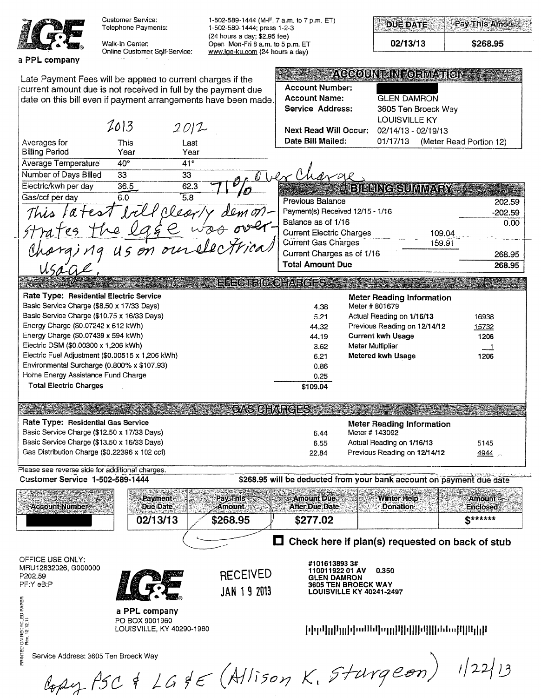|                                                                            | <b>Customer Service:</b><br>Telephone Payments:                                                                                                                                                | 1-502-589-1444 (M-F, 7 a.m. to 7 p.m. ET)<br>1-502-589-1444; press 1-2-3                            |                                                       |                                                        | <b>DUE DATE</b>                                                                                                                                 | <b>Pay This Amount</b>      |           |
|----------------------------------------------------------------------------|------------------------------------------------------------------------------------------------------------------------------------------------------------------------------------------------|-----------------------------------------------------------------------------------------------------|-------------------------------------------------------|--------------------------------------------------------|-------------------------------------------------------------------------------------------------------------------------------------------------|-----------------------------|-----------|
|                                                                            | Walk-In Center:<br>Online Customer Self-Service:                                                                                                                                               | (24 hours a day; \$2.95 fee)<br>Open Mon-Fri 8 a.m. to 5 p.m. ET<br>www.lge-ku.com (24 hours a day) |                                                       |                                                        | 02/13/13                                                                                                                                        | \$268.95                    |           |
| a PPL company                                                              |                                                                                                                                                                                                |                                                                                                     |                                                       |                                                        |                                                                                                                                                 |                             |           |
|                                                                            | Late Payment Fees will be applied to current charges if the<br>current amount due is not received in full by the payment due<br>date on this bill even if payment arrangements have been made. |                                                                                                     | <b>Account Number:</b><br><b>Account Name:</b>        |                                                        | ACCOUNDINEORMATION.<br><b>GLEN DAMRON</b>                                                                                                       |                             |           |
|                                                                            |                                                                                                                                                                                                |                                                                                                     | Service Address:                                      |                                                        | 3605 Ten Broeck Way<br><b>LOUISVILLE KY</b>                                                                                                     |                             |           |
| Averages for                                                               | 2013<br>2012<br>This<br>Last                                                                                                                                                                   |                                                                                                     | <b>Next Read Will Occur:</b><br>Date Bill Mailed:     |                                                        | 02/14/13 - 02/19/13<br>01/17/13                                                                                                                 | (Meter Read Portion 12)     |           |
| <b>Billing Period</b>                                                      | Year<br>Year                                                                                                                                                                                   |                                                                                                     |                                                       |                                                        |                                                                                                                                                 |                             |           |
| Average Temperature                                                        | $40^{\circ}$<br>41°                                                                                                                                                                            |                                                                                                     |                                                       |                                                        |                                                                                                                                                 |                             |           |
| Number of Days Billed                                                      | 33<br>33                                                                                                                                                                                       |                                                                                                     | Thex Charge                                           |                                                        |                                                                                                                                                 |                             |           |
| Electric/kwh per day                                                       | 36.5<br>62.3                                                                                                                                                                                   |                                                                                                     |                                                       |                                                        | <b>BILLING SUMMARY</b>                                                                                                                          |                             |           |
| Gas/ccf per day                                                            | 6.0<br>$\overline{5.8}$                                                                                                                                                                        |                                                                                                     | <b>Previous Balance</b>                               |                                                        |                                                                                                                                                 |                             | 202.59    |
| This latest                                                                | Alear.                                                                                                                                                                                         |                                                                                                     | Payment(s) Received 12/15 - 1/16                      |                                                        |                                                                                                                                                 |                             | $-202.59$ |
|                                                                            |                                                                                                                                                                                                |                                                                                                     | Balance as of 1/16                                    |                                                        |                                                                                                                                                 |                             | 0.00      |
|                                                                            |                                                                                                                                                                                                |                                                                                                     | <b>Current Electric Charges</b>                       |                                                        | 109.04                                                                                                                                          |                             |           |
|                                                                            |                                                                                                                                                                                                |                                                                                                     | <b>Current Gas Charges</b>                            |                                                        | 159.91                                                                                                                                          |                             |           |
|                                                                            | Mrajes The egge was over.                                                                                                                                                                      |                                                                                                     | Current Charges as of 1/16<br><b>Total Amount Due</b> |                                                        |                                                                                                                                                 |                             | 268.95    |
| Usage                                                                      |                                                                                                                                                                                                |                                                                                                     |                                                       |                                                        |                                                                                                                                                 |                             | 268.95    |
|                                                                            |                                                                                                                                                                                                | <b>ENECTRIC CHARGES</b>                                                                             |                                                       |                                                        |                                                                                                                                                 |                             |           |
| Rate Type: Residential Electric Service                                    |                                                                                                                                                                                                |                                                                                                     |                                                       |                                                        | <b>Meter Reading Information</b>                                                                                                                |                             |           |
| Basic Service Charge (\$8.50 x 17/33 Days)                                 |                                                                                                                                                                                                |                                                                                                     | 4.38                                                  | Meter # 801679                                         |                                                                                                                                                 |                             |           |
|                                                                            | Basic Service Charge (\$10.75 x 16/33 Days)                                                                                                                                                    |                                                                                                     | 5.21                                                  |                                                        | Actual Reading on 1/16/13                                                                                                                       | 16938                       |           |
| Energy Charge (\$0.07242 x 612 kWh)<br>Energy Charge (\$0.07439 x 594 kWh) |                                                                                                                                                                                                |                                                                                                     | 44.32<br>44.19                                        |                                                        | Previous Reading on 12/14/12<br><b>Current kwh Usage</b>                                                                                        | 15732<br>1206               |           |
| Electric DSM (\$0.00300 x 1,206 kWh)                                       |                                                                                                                                                                                                |                                                                                                     | 3.62                                                  | Meter Multiplier                                       |                                                                                                                                                 | ᆜ                           |           |
|                                                                            | Electric Fuel Adjustment (\$0.00515 x 1,206 kWh)                                                                                                                                               |                                                                                                     | 6.21                                                  |                                                        | Metered kwh Usage                                                                                                                               | 1206                        |           |
|                                                                            | Environmental Surcharge (0.800% x \$107.93)                                                                                                                                                    |                                                                                                     | 0.86                                                  |                                                        |                                                                                                                                                 |                             |           |
| Home Energy Assistance Fund Charge                                         |                                                                                                                                                                                                |                                                                                                     | 0.25                                                  |                                                        |                                                                                                                                                 |                             |           |
| <b>Total Electric Charges</b>                                              |                                                                                                                                                                                                |                                                                                                     | \$109.04                                              |                                                        |                                                                                                                                                 |                             |           |
|                                                                            | <b>SERVICES AND RELEASED FOR SCHARGES AND</b>                                                                                                                                                  |                                                                                                     |                                                       |                                                        |                                                                                                                                                 |                             |           |
| Rate Type: Residential Gas Service                                         |                                                                                                                                                                                                |                                                                                                     |                                                       |                                                        | a state of the state of the state of the state of the state of the state of the state of the state of the state of<br>Meter Reading Information |                             |           |
|                                                                            | Basic Service Charge (\$12.50 x 17/33 Days)                                                                                                                                                    |                                                                                                     | 6.44                                                  | Meter # 143092                                         |                                                                                                                                                 |                             |           |
|                                                                            | Basic Service Charge (\$13.50 x 16/33 Days)                                                                                                                                                    |                                                                                                     | 6.55                                                  |                                                        | Actual Reading on 1/16/13                                                                                                                       | 5145                        |           |
|                                                                            | Gas Distribution Charge (\$0.22396 x 102 ccf)                                                                                                                                                  |                                                                                                     | 22.84                                                 |                                                        | Previous Reading on 12/14/12                                                                                                                    | 4944                        |           |
|                                                                            | Please see reverse side for additional charges.                                                                                                                                                |                                                                                                     |                                                       |                                                        |                                                                                                                                                 |                             |           |
| <b>Customer Service 1-502-589-1444</b>                                     |                                                                                                                                                                                                |                                                                                                     |                                                       |                                                        | \$268.95 will be deducted from your bank account on payment due date                                                                            |                             |           |
| <b>Account Number</b>                                                      | Payment<br>Due Date                                                                                                                                                                            | <b>Pay Thisse</b><br>Amount                                                                         | <b>Amount Due:</b><br><b>After Due Date</b>           |                                                        | <b>Winter Help</b><br><b>Donation</b>                                                                                                           | <b>Amount:</b><br>Enclosed: |           |
|                                                                            | 02/13/13                                                                                                                                                                                       | \$268.95                                                                                            | \$277.02                                              |                                                        |                                                                                                                                                 | $S$ ******                  |           |
|                                                                            |                                                                                                                                                                                                |                                                                                                     |                                                       |                                                        | $\Box$ Check here if plan(s) requested on back of stub                                                                                          |                             |           |
|                                                                            |                                                                                                                                                                                                |                                                                                                     |                                                       |                                                        |                                                                                                                                                 |                             |           |
| OFFICE USE ONLY:<br>MRU12832026, G000000                                   |                                                                                                                                                                                                |                                                                                                     | #1016138933#                                          |                                                        | 0.350                                                                                                                                           |                             |           |
| P202.59                                                                    |                                                                                                                                                                                                | <b>RECEIVED</b>                                                                                     | 110011922 01 AV<br><b>GLEN DAMRON</b>                 |                                                        |                                                                                                                                                 |                             |           |
| PF:Y eB:P                                                                  |                                                                                                                                                                                                | <b>JAN 19 2013</b>                                                                                  |                                                       | <b>3605 TEN BROECK WAY</b><br>LOUISVILLE KY 40241-2497 |                                                                                                                                                 |                             |           |
|                                                                            |                                                                                                                                                                                                |                                                                                                     |                                                       |                                                        |                                                                                                                                                 |                             |           |
|                                                                            | a PPL company                                                                                                                                                                                  |                                                                                                     |                                                       |                                                        |                                                                                                                                                 |                             |           |
|                                                                            | PO BOX 9001960                                                                                                                                                                                 |                                                                                                     |                                                       |                                                        |                                                                                                                                                 |                             |           |
|                                                                            | LOUISVILLE, KY 40290-1960                                                                                                                                                                      |                                                                                                     |                                                       |                                                        |                                                                                                                                                 |                             |           |
| PRINTED ON RECYCLED PAPER<br>Rev. 12.12.11                                 |                                                                                                                                                                                                |                                                                                                     |                                                       |                                                        |                                                                                                                                                 |                             |           |
|                                                                            | Service Address: 3605 Ten Broeck Way                                                                                                                                                           |                                                                                                     |                                                       |                                                        |                                                                                                                                                 |                             |           |
|                                                                            |                                                                                                                                                                                                |                                                                                                     |                                                       |                                                        |                                                                                                                                                 |                             |           |
|                                                                            | $log\mu$ PSC & LG & E (Allison K. Sturgeon) 1/22/13                                                                                                                                            |                                                                                                     |                                                       |                                                        |                                                                                                                                                 |                             |           |
|                                                                            |                                                                                                                                                                                                |                                                                                                     |                                                       |                                                        |                                                                                                                                                 |                             |           |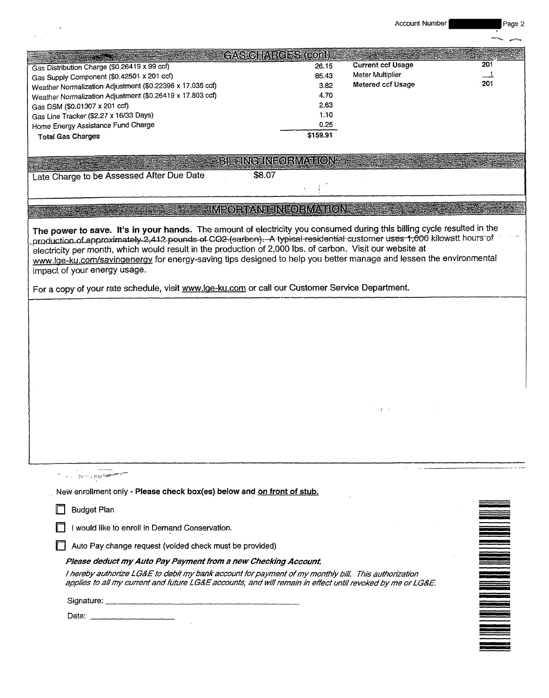Account Number Page 2

|                                                                                                                                                                                                                                                  |                           | Account Number           | Page 2                                                                                                                                                                                                                               |
|--------------------------------------------------------------------------------------------------------------------------------------------------------------------------------------------------------------------------------------------------|---------------------------|--------------------------|--------------------------------------------------------------------------------------------------------------------------------------------------------------------------------------------------------------------------------------|
|                                                                                                                                                                                                                                                  |                           |                          |                                                                                                                                                                                                                                      |
|                                                                                                                                                                                                                                                  | <b>GASTOHARGES (CON)</b>  |                          |                                                                                                                                                                                                                                      |
| Gas Distribution Charge (\$0.26419 x 99 ccf)                                                                                                                                                                                                     | 26.15                     | <b>Current ccf Usage</b> | 201                                                                                                                                                                                                                                  |
| Gas Supply Component (\$0.42501 x 201 ccf)                                                                                                                                                                                                       | 85.43                     | Meter Multiplier         | $\perp$                                                                                                                                                                                                                              |
| Weather Normalization Adjustment (\$0.22396 x 17.035 ccf)                                                                                                                                                                                        | 3.82                      | Metered ccf Usage        | 201                                                                                                                                                                                                                                  |
| Weather Normalization Adjustment (\$0.26419 x 17.803 ccf)                                                                                                                                                                                        | 4.70                      |                          |                                                                                                                                                                                                                                      |
| Gas DSM (\$0.01307 x 201 ccf)<br>Gas Line Tracker (\$2.27 x 16/33 Days)                                                                                                                                                                          | 2.63<br>1.10              |                          |                                                                                                                                                                                                                                      |
| Home Energy Assistance Fund Charge                                                                                                                                                                                                               | 0.25                      |                          |                                                                                                                                                                                                                                      |
| <b>Total Gas Charges</b>                                                                                                                                                                                                                         | \$159.91                  |                          |                                                                                                                                                                                                                                      |
|                                                                                                                                                                                                                                                  |                           |                          |                                                                                                                                                                                                                                      |
|                                                                                                                                                                                                                                                  | <b>BIELINGHNFORMATION</b> |                          |                                                                                                                                                                                                                                      |
| \$8.07<br>Late Charge to be Assessed After Due Date                                                                                                                                                                                              |                           |                          |                                                                                                                                                                                                                                      |
|                                                                                                                                                                                                                                                  |                           |                          |                                                                                                                                                                                                                                      |
|                                                                                                                                                                                                                                                  |                           |                          |                                                                                                                                                                                                                                      |
|                                                                                                                                                                                                                                                  | IMPORTANT INFORMATION     |                          |                                                                                                                                                                                                                                      |
|                                                                                                                                                                                                                                                  |                           |                          |                                                                                                                                                                                                                                      |
| The power to save. It's in your hands. The amount of electricity you consumed during this billing cycle resulted in the<br>production of approximately 2,412 pounds of CO2 (sarbon). A typical residential customer uses 1,000 kilowatt hours of |                           |                          |                                                                                                                                                                                                                                      |
| electricity per month, which would result in the production of 2,000 lbs. of carbon. Visit our website at                                                                                                                                        |                           |                          |                                                                                                                                                                                                                                      |
| www.lge-ku.com/savingenergy for energy-saving tips designed to help you better manage and lessen the environmental                                                                                                                               |                           |                          |                                                                                                                                                                                                                                      |
| impact of your energy usage.                                                                                                                                                                                                                     |                           |                          |                                                                                                                                                                                                                                      |
| For a copy of your rate schedule, visit www.lge-ku.com or call our Customer Service Department.                                                                                                                                                  |                           |                          |                                                                                                                                                                                                                                      |
|                                                                                                                                                                                                                                                  |                           |                          |                                                                                                                                                                                                                                      |
|                                                                                                                                                                                                                                                  |                           |                          |                                                                                                                                                                                                                                      |
|                                                                                                                                                                                                                                                  |                           |                          |                                                                                                                                                                                                                                      |
|                                                                                                                                                                                                                                                  |                           |                          |                                                                                                                                                                                                                                      |
|                                                                                                                                                                                                                                                  |                           |                          |                                                                                                                                                                                                                                      |
|                                                                                                                                                                                                                                                  |                           |                          |                                                                                                                                                                                                                                      |
|                                                                                                                                                                                                                                                  |                           |                          |                                                                                                                                                                                                                                      |
|                                                                                                                                                                                                                                                  |                           |                          |                                                                                                                                                                                                                                      |
|                                                                                                                                                                                                                                                  |                           |                          |                                                                                                                                                                                                                                      |
|                                                                                                                                                                                                                                                  |                           |                          |                                                                                                                                                                                                                                      |
|                                                                                                                                                                                                                                                  |                           |                          |                                                                                                                                                                                                                                      |
|                                                                                                                                                                                                                                                  |                           |                          |                                                                                                                                                                                                                                      |
|                                                                                                                                                                                                                                                  |                           |                          |                                                                                                                                                                                                                                      |
|                                                                                                                                                                                                                                                  |                           |                          |                                                                                                                                                                                                                                      |
|                                                                                                                                                                                                                                                  |                           |                          |                                                                                                                                                                                                                                      |
| া । ইয়ায়ে টুইন্ <mark>ডিয়াম্প</mark> র                                                                                                                                                                                                        |                           |                          |                                                                                                                                                                                                                                      |
| New enrollment only - Please check box(es) below and on front of stub.                                                                                                                                                                           |                           |                          |                                                                                                                                                                                                                                      |
| <b>Budget Plan</b>                                                                                                                                                                                                                               |                           |                          |                                                                                                                                                                                                                                      |
|                                                                                                                                                                                                                                                  |                           |                          |                                                                                                                                                                                                                                      |
| I would like to enroll in Demand Conservation.                                                                                                                                                                                                   |                           |                          |                                                                                                                                                                                                                                      |
| Auto Pay change request (voided check must be provided)                                                                                                                                                                                          |                           |                          |                                                                                                                                                                                                                                      |
| Please deduct my Auto Pay Payment from a new Checking Account.                                                                                                                                                                                   |                           |                          |                                                                                                                                                                                                                                      |
| I hereby authorize LG&E to debit my bank account for payment of my monthly bill. This authorization                                                                                                                                              |                           |                          |                                                                                                                                                                                                                                      |
| applies to all my current and future LG&E accounts, and will remain in effect until revoked by me or LG&E.                                                                                                                                       |                           |                          |                                                                                                                                                                                                                                      |
|                                                                                                                                                                                                                                                  |                           |                          | <u>san ang pagpalang ng pagpagang ng pagpagang ng pagpagang ng pagpagang ng pagpagang ng pagpagang ng pagpagang ng pagpagang ng pagpagang ng pagpagang ng pagpagang ng pagpagang ng pagpagang ng pagpagang ng pagpagang ng pagpa</u> |
|                                                                                                                                                                                                                                                  |                           |                          |                                                                                                                                                                                                                                      |
|                                                                                                                                                                                                                                                  |                           |                          |                                                                                                                                                                                                                                      |
|                                                                                                                                                                                                                                                  |                           |                          |                                                                                                                                                                                                                                      |
|                                                                                                                                                                                                                                                  |                           |                          |                                                                                                                                                                                                                                      |
|                                                                                                                                                                                                                                                  |                           |                          |                                                                                                                                                                                                                                      |